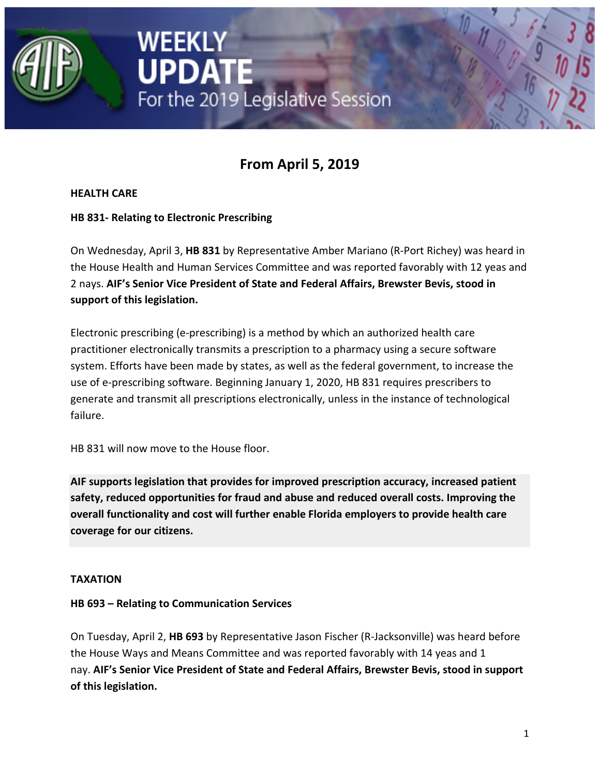

# **From April 5, 2019**

**HEALTH CARE**

**HB 831- Relating to Electronic Prescribing**

On Wednesday, April 3, **HB 831** by Representative Amber Mariano (R-Port Richey) was heard in the House Health and Human Services Committee and was reported favorably with 12 yeas and 2 nays. **AIF's Senior Vice President of State and Federal Affairs, Brewster Bevis, stood in support of this legislation.**

Electronic prescribing (e-prescribing) is a method by which an authorized health care practitioner electronically transmits a prescription to a pharmacy using a secure software system. Efforts have been made by states, as well as the federal government, to increase the use of e-prescribing software. Beginning January 1, 2020, HB 831 requires prescribers to generate and transmit all prescriptions electronically, unless in the instance of technological failure.

HB 831 will now move to the House floor.

**AIF supports legislation that provides for improved prescription accuracy, increased patient safety, reduced opportunities for fraud and abuse and reduced overall costs. Improving the overall functionality and cost will further enable Florida employers to provide health care coverage for our citizens.**

# **TAXATION**

# **HB 693 – Relating to Communication Services**

On Tuesday, April 2, **HB 693** by Representative Jason Fischer (R-Jacksonville) was heard before the House Ways and Means Committee and was reported favorably with 14 yeas and 1 nay. **AIF's Senior Vice President of State and Federal Affairs, Brewster Bevis, stood in support of this legislation.**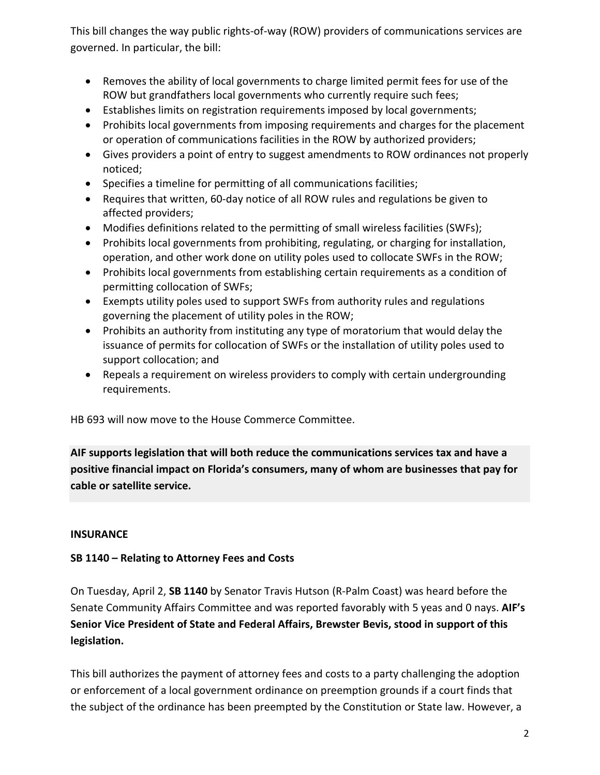This bill changes the way public rights-of-way (ROW) providers of communications services are governed. In particular, the bill:

- Removes the ability of local governments to charge limited permit fees for use of the ROW but grandfathers local governments who currently require such fees;
- Establishes limits on registration requirements imposed by local governments;
- Prohibits local governments from imposing requirements and charges for the placement or operation of communications facilities in the ROW by authorized providers;
- Gives providers a point of entry to suggest amendments to ROW ordinances not properly noticed;
- Specifies a timeline for permitting of all communications facilities;
- Requires that written, 60-day notice of all ROW rules and regulations be given to affected providers;
- Modifies definitions related to the permitting of small wireless facilities (SWFs);
- Prohibits local governments from prohibiting, regulating, or charging for installation, operation, and other work done on utility poles used to collocate SWFs in the ROW;
- Prohibits local governments from establishing certain requirements as a condition of permitting collocation of SWFs;
- Exempts utility poles used to support SWFs from authority rules and regulations governing the placement of utility poles in the ROW;
- Prohibits an authority from instituting any type of moratorium that would delay the issuance of permits for collocation of SWFs or the installation of utility poles used to support collocation; and
- Repeals a requirement on wireless providers to comply with certain undergrounding requirements.

HB 693 will now move to the House Commerce Committee.

**AIF supports legislation that will both reduce the communications services tax and have a positive financial impact on Florida's consumers, many of whom are businesses that pay for cable or satellite service.**

# **INSURANCE**

# **SB 1140 – Relating to Attorney Fees and Costs**

On Tuesday, April 2, **SB 1140** by Senator Travis Hutson (R-Palm Coast) was heard before the Senate Community Affairs Committee and was reported favorably with 5 yeas and 0 nays. **AIF's Senior Vice President of State and Federal Affairs, Brewster Bevis, stood in support of this legislation.**

This bill authorizes the payment of attorney fees and costs to a party challenging the adoption or enforcement of a local government ordinance on preemption grounds if a court finds that the subject of the ordinance has been preempted by the Constitution or State law. However, a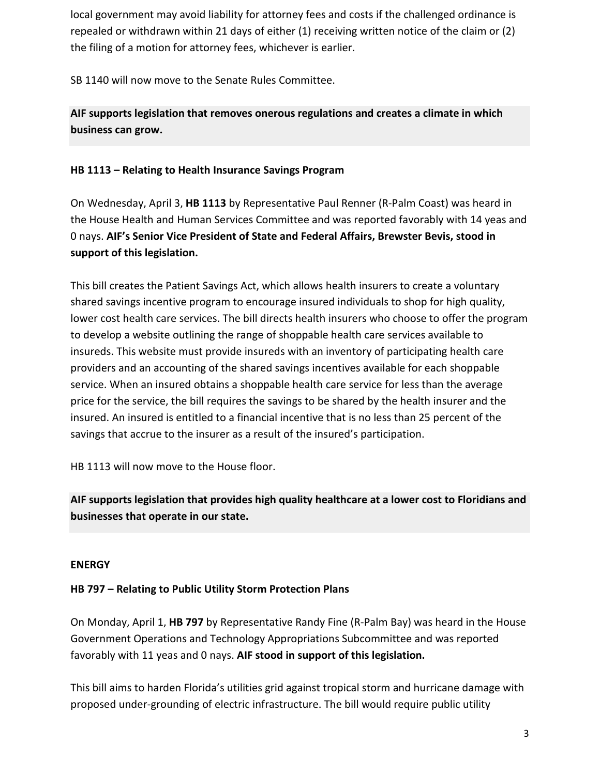local government may avoid liability for attorney fees and costs if the challenged ordinance is repealed or withdrawn within 21 days of either (1) receiving written notice of the claim or (2) the filing of a motion for attorney fees, whichever is earlier.

SB 1140 will now move to the Senate Rules Committee.

**AIF supports legislation that removes onerous regulations and creates a climate in which business can grow.**

## **HB 1113 – Relating to Health Insurance Savings Program**

On Wednesday, April 3, **HB 1113** by Representative Paul Renner (R-Palm Coast) was heard in the House Health and Human Services Committee and was reported favorably with 14 yeas and 0 nays. **AIF's Senior Vice President of State and Federal Affairs, Brewster Bevis, stood in support of this legislation.**

This bill creates the Patient Savings Act, which allows health insurers to create a voluntary shared savings incentive program to encourage insured individuals to shop for high quality, lower cost health care services. The bill directs health insurers who choose to offer the program to develop a website outlining the range of shoppable health care services available to insureds. This website must provide insureds with an inventory of participating health care providers and an accounting of the shared savings incentives available for each shoppable service. When an insured obtains a shoppable health care service for less than the average price for the service, the bill requires the savings to be shared by the health insurer and the insured. An insured is entitled to a financial incentive that is no less than 25 percent of the savings that accrue to the insurer as a result of the insured's participation.

HB 1113 will now move to the House floor.

**AIF supports legislation that provides high quality healthcare at a lower cost to Floridians and businesses that operate in our state.**

#### **ENERGY**

#### **HB 797 – Relating to Public Utility Storm Protection Plans**

On Monday, April 1, **HB 797** by Representative Randy Fine (R-Palm Bay) was heard in the House Government Operations and Technology Appropriations Subcommittee and was reported favorably with 11 yeas and 0 nays. **AIF stood in support of this legislation.**

This bill aims to harden Florida's utilities grid against tropical storm and hurricane damage with proposed under-grounding of electric infrastructure. The bill would require public utility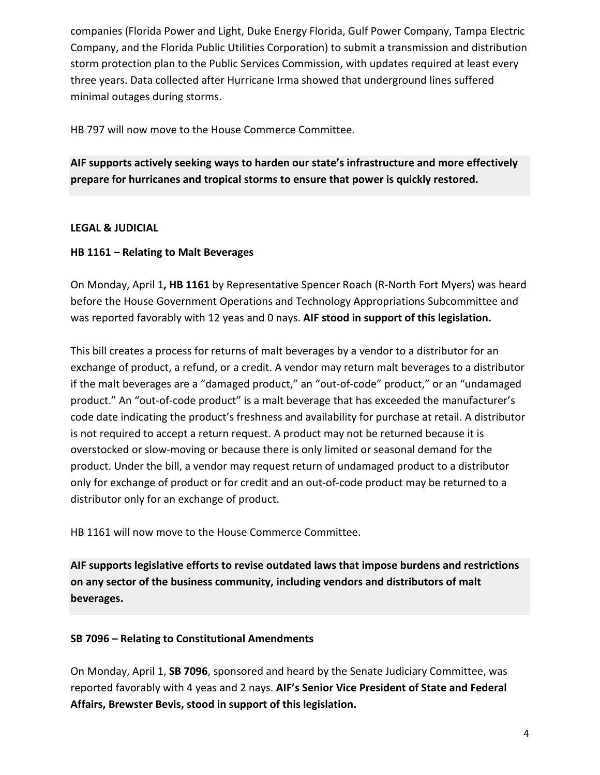companies (Florida Power and Light, Duke Energy Florida, Gulf Power Company, Tampa Electric Company, and the Florida Public Utilities Corporation) to submit a transmission and distribution storm protection plan to the Public Services Commission, with updates required at least every three years. Data collected after Hurricane Irma showed that underground lines suffered minimal outages during storms.

HB 797 will now move to the House Commerce Committee.

**AIF supports actively seeking ways to harden our state's infrastructure and more effectively prepare for hurricanes and tropical storms to ensure that power is quickly restored.**

#### **LEGAL & JUDICIAL**

## **HB 1161 – Relating to Malt Beverages**

On Monday, April 1**, HB 1161** by Representative Spencer Roach (R-North Fort Myers) was heard before the House Government Operations and Technology Appropriations Subcommittee and was reported favorably with 12 yeas and 0 nays. **AIF stood in support of this legislation.**

This bill creates a process for returns of malt beverages by a vendor to a distributor for an exchange of product, a refund, or a credit. A vendor may return malt beverages to a distributor if the malt beverages are a "damaged product," an "out-of-code" product," or an "undamaged product." An "out-of-code product" is a malt beverage that has exceeded the manufacturer's code date indicating the product's freshness and availability for purchase at retail. A distributor is not required to accept a return request. A product may not be returned because it is overstocked or slow-moving or because there is only limited or seasonal demand for the product. Under the bill, a vendor may request return of undamaged product to a distributor only for exchange of product or for credit and an out-of-code product may be returned to a distributor only for an exchange of product.

HB 1161 will now move to the House Commerce Committee.

**AIF supports legislative efforts to revise outdated laws that impose burdens and restrictions on any sector of the business community, including vendors and distributors of malt beverages.**

#### **SB 7096 – Relating to Constitutional Amendments**

On Monday, April 1, **SB 7096**, sponsored and heard by the Senate Judiciary Committee, was reported favorably with 4 yeas and 2 nays. **AIF's Senior Vice President of State and Federal Affairs, Brewster Bevis, stood in support of this legislation.**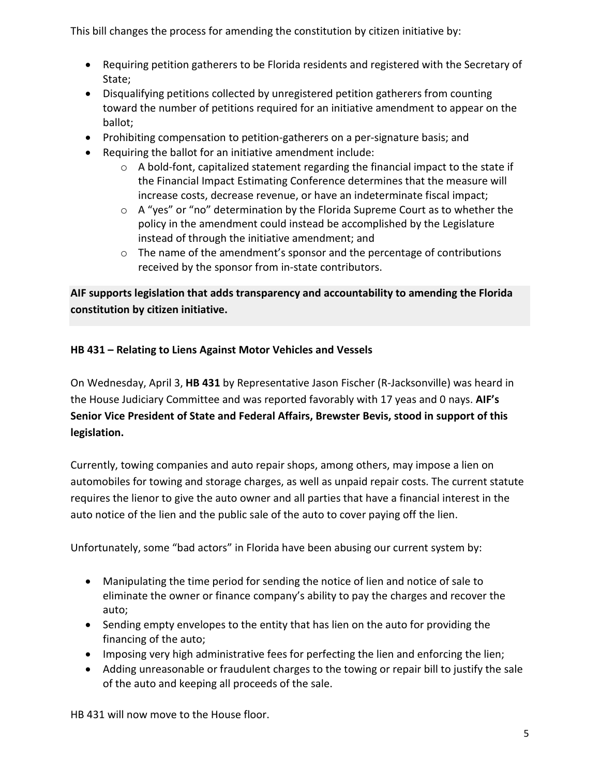This bill changes the process for amending the constitution by citizen initiative by:

- Requiring petition gatherers to be Florida residents and registered with the Secretary of State;
- Disqualifying petitions collected by unregistered petition gatherers from counting toward the number of petitions required for an initiative amendment to appear on the ballot;
- Prohibiting compensation to petition-gatherers on a per-signature basis; and
- Requiring the ballot for an initiative amendment include:
	- o A bold-font, capitalized statement regarding the financial impact to the state if the Financial Impact Estimating Conference determines that the measure will increase costs, decrease revenue, or have an indeterminate fiscal impact;
	- o A "yes" or "no" determination by the Florida Supreme Court as to whether the policy in the amendment could instead be accomplished by the Legislature instead of through the initiative amendment; and
	- o The name of the amendment's sponsor and the percentage of contributions received by the sponsor from in-state contributors.

**AIF supports legislation that adds transparency and accountability to amending the Florida constitution by citizen initiative.**

# **HB 431 – Relating to Liens Against Motor Vehicles and Vessels**

On Wednesday, April 3, **HB 431** by Representative Jason Fischer (R-Jacksonville) was heard in the House Judiciary Committee and was reported favorably with 17 yeas and 0 nays. **AIF's Senior Vice President of State and Federal Affairs, Brewster Bevis, stood in support of this legislation.**

Currently, towing companies and auto repair shops, among others, may impose a lien on automobiles for towing and storage charges, as well as unpaid repair costs. The current statute requires the lienor to give the auto owner and all parties that have a financial interest in the auto notice of the lien and the public sale of the auto to cover paying off the lien.

Unfortunately, some "bad actors" in Florida have been abusing our current system by:

- Manipulating the time period for sending the notice of lien and notice of sale to eliminate the owner or finance company's ability to pay the charges and recover the auto;
- Sending empty envelopes to the entity that has lien on the auto for providing the financing of the auto;
- Imposing very high administrative fees for perfecting the lien and enforcing the lien;
- Adding unreasonable or fraudulent charges to the towing or repair bill to justify the sale of the auto and keeping all proceeds of the sale.

HB 431 will now move to the House floor.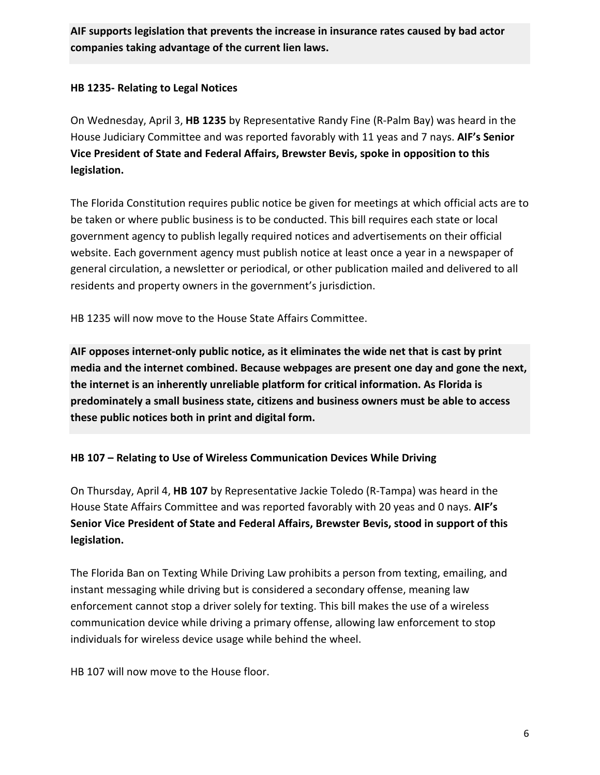**AIF supports legislation that prevents the increase in insurance rates caused by bad actor companies taking advantage of the current lien laws.**

## **HB 1235- Relating to Legal Notices**

On Wednesday, April 3, **HB 1235** by Representative Randy Fine (R-Palm Bay) was heard in the House Judiciary Committee and was reported favorably with 11 yeas and 7 nays. **AIF's Senior Vice President of State and Federal Affairs, Brewster Bevis, spoke in opposition to this legislation.**

The Florida Constitution requires public notice be given for meetings at which official acts are to be taken or where public business is to be conducted. This bill requires each state or local government agency to publish legally required notices and advertisements on their official website. Each government agency must publish notice at least once a year in a newspaper of general circulation, a newsletter or periodical, or other publication mailed and delivered to all residents and property owners in the government's jurisdiction.

HB 1235 will now move to the House State Affairs Committee.

**AIF opposes internet-only public notice, as it eliminates the wide net that is cast by print media and the internet combined. Because webpages are present one day and gone the next, the internet is an inherently unreliable platform for critical information. As Florida is predominately a small business state, citizens and business owners must be able to access these public notices both in print and digital form.**

# **HB 107 – Relating to Use of Wireless Communication Devices While Driving**

On Thursday, April 4, **HB 107** by Representative Jackie Toledo (R-Tampa) was heard in the House State Affairs Committee and was reported favorably with 20 yeas and 0 nays. **AIF's Senior Vice President of State and Federal Affairs, Brewster Bevis, stood in support of this legislation.**

The Florida Ban on Texting While Driving Law prohibits a person from texting, emailing, and instant messaging while driving but is considered a secondary offense, meaning law enforcement cannot stop a driver solely for texting. This bill makes the use of a wireless communication device while driving a primary offense, allowing law enforcement to stop individuals for wireless device usage while behind the wheel.

HB 107 will now move to the House floor.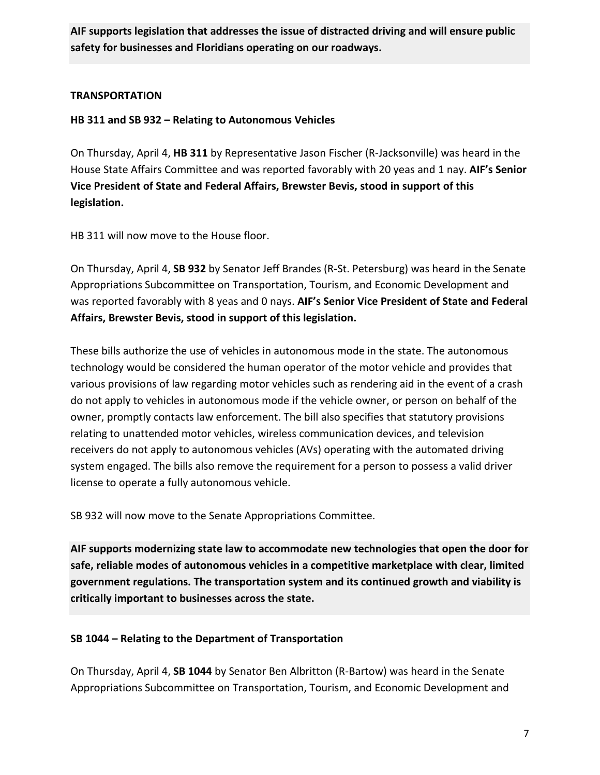**AIF supports legislation that addresses the issue of distracted driving and will ensure public safety for businesses and Floridians operating on our roadways.**

### **TRANSPORTATION**

## **HB 311 and SB 932 – Relating to Autonomous Vehicles**

On Thursday, April 4, **HB 311** by Representative Jason Fischer (R-Jacksonville) was heard in the House State Affairs Committee and was reported favorably with 20 yeas and 1 nay. **AIF's Senior Vice President of State and Federal Affairs, Brewster Bevis, stood in support of this legislation.**

HB 311 will now move to the House floor.

On Thursday, April 4, **SB 932** by Senator Jeff Brandes (R-St. Petersburg) was heard in the Senate Appropriations Subcommittee on Transportation, Tourism, and Economic Development and was reported favorably with 8 yeas and 0 nays. **AIF's Senior Vice President of State and Federal Affairs, Brewster Bevis, stood in support of this legislation.**

These bills authorize the use of vehicles in autonomous mode in the state. The autonomous technology would be considered the human operator of the motor vehicle and provides that various provisions of law regarding motor vehicles such as rendering aid in the event of a crash do not apply to vehicles in autonomous mode if the vehicle owner, or person on behalf of the owner, promptly contacts law enforcement. The bill also specifies that statutory provisions relating to unattended motor vehicles, wireless communication devices, and television receivers do not apply to autonomous vehicles (AVs) operating with the automated driving system engaged. The bills also remove the requirement for a person to possess a valid driver license to operate a fully autonomous vehicle.

SB 932 will now move to the Senate Appropriations Committee.

**AIF supports modernizing state law to accommodate new technologies that open the door for safe, reliable modes of autonomous vehicles in a competitive marketplace with clear, limited government regulations. The transportation system and its continued growth and viability is critically important to businesses across the state.**

# **SB 1044 – Relating to the Department of Transportation**

On Thursday, April 4, **SB 1044** by Senator Ben Albritton (R-Bartow) was heard in the Senate Appropriations Subcommittee on Transportation, Tourism, and Economic Development and